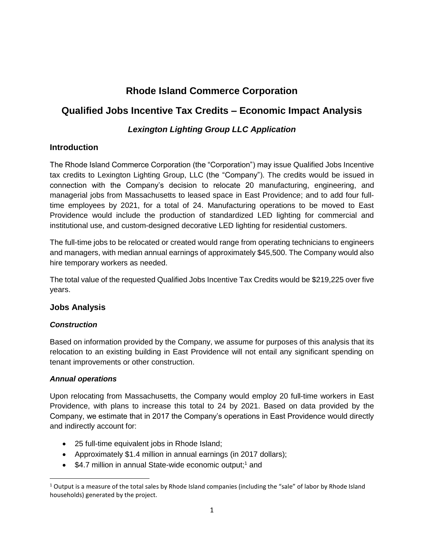# **Rhode Island Commerce Corporation**

## **Qualified Jobs Incentive Tax Credits – Economic Impact Analysis**

## *Lexington Lighting Group LLC Application*

## **Introduction**

The Rhode Island Commerce Corporation (the "Corporation") may issue Qualified Jobs Incentive tax credits to Lexington Lighting Group, LLC (the "Company"). The credits would be issued in connection with the Company's decision to relocate 20 manufacturing, engineering, and managerial jobs from Massachusetts to leased space in East Providence; and to add four fulltime employees by 2021, for a total of 24. Manufacturing operations to be moved to East Providence would include the production of standardized LED lighting for commercial and institutional use, and custom-designed decorative LED lighting for residential customers.

The full-time jobs to be relocated or created would range from operating technicians to engineers and managers, with median annual earnings of approximately \$45,500. The Company would also hire temporary workers as needed.

The total value of the requested Qualified Jobs Incentive Tax Credits would be \$219,225 over five years.

## **Jobs Analysis**

## *Construction*

Based on information provided by the Company, we assume for purposes of this analysis that its relocation to an existing building in East Providence will not entail any significant spending on tenant improvements or other construction.

## *Annual operations*

Upon relocating from Massachusetts, the Company would employ 20 full-time workers in East Providence, with plans to increase this total to 24 by 2021. Based on data provided by the Company, we estimate that in 2017 the Company's operations in East Providence would directly and indirectly account for:

- 25 full-time equivalent jobs in Rhode Island;
- Approximately \$1.4 million in annual earnings (in 2017 dollars);
- \$4.7 million in annual State-wide economic output;<sup>1</sup> and

l  $1$  Output is a measure of the total sales by Rhode Island companies (including the "sale" of labor by Rhode Island households) generated by the project.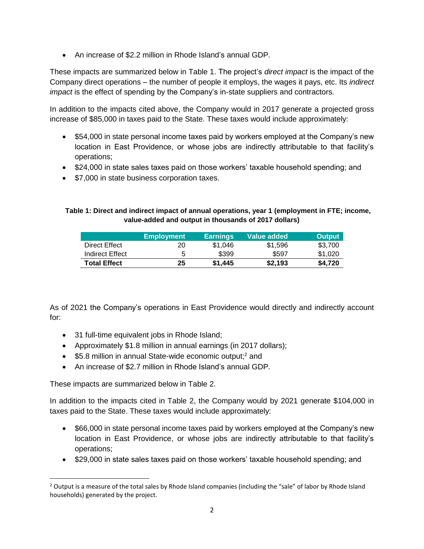An increase of \$2.2 million in Rhode Island's annual GDP.

These impacts are summarized below in Table 1. The project's *direct impact* is the impact of the Company direct operations – the number of people it employs, the wages it pays, etc. Its *indirect impact* is the effect of spending by the Company's in-state suppliers and contractors.

In addition to the impacts cited above, the Company would in 2017 generate a projected gross increase of \$85,000 in taxes paid to the State. These taxes would include approximately:

- \$54,000 in state personal income taxes paid by workers employed at the Company's new location in East Providence, or whose jobs are indirectly attributable to that facility's operations;
- \$24,000 in state sales taxes paid on those workers' taxable household spending; and
- \$7,000 in state business corporation taxes.

#### **Table 1: Direct and indirect impact of annual operations, year 1 (employment in FTE; income, value-added and output in thousands of 2017 dollars)**

|                     | <b>Employment</b> | <b>Earnings</b> | Value added | <b>Output</b> |
|---------------------|-------------------|-----------------|-------------|---------------|
| Direct Effect       | 20                | \$1.046         | \$1.596     | \$3.700       |
| Indirect Effect     | 5                 | \$399           | \$597       | \$1,020       |
| <b>Total Effect</b> | 25                | \$1.445         | \$2.193     | \$4.720       |

As of 2021 the Company's operations in East Providence would directly and indirectly account for:

- 31 full-time equivalent jobs in Rhode Island;
- Approximately \$1.8 million in annual earnings (in 2017 dollars);
- \$5.8 million in annual State-wide economic output;<sup>2</sup> and
- An increase of \$2.7 million in Rhode Island's annual GDP.

These impacts are summarized below in Table 2.

l

In addition to the impacts cited in Table 2, the Company would by 2021 generate \$104,000 in taxes paid to the State. These taxes would include approximately:

- \$66,000 in state personal income taxes paid by workers employed at the Company's new location in East Providence, or whose jobs are indirectly attributable to that facility's operations;
- \$29,000 in state sales taxes paid on those workers' taxable household spending; and

 $2$  Output is a measure of the total sales by Rhode Island companies (including the "sale" of labor by Rhode Island households) generated by the project.